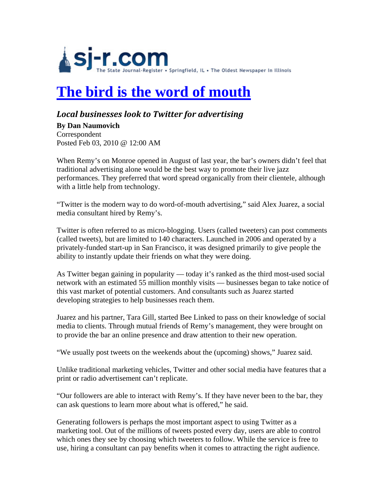

## **The bird is the word of mouth**

## *Local businesses look to Twitter for advertising*

**By Dan Naumovich** Correspondent Posted Feb 03, 2010 @ 12:00 AM

When Remy's on Monroe opened in August of last year, the bar's owners didn't feel that traditional advertising alone would be the best way to promote their live jazz performances. They preferred that word spread organically from their clientele, although with a little help from technology.

"Twitter is the modern way to do word-of-mouth advertising," said Alex Juarez, a social media consultant hired by Remy's.

Twitter is often referred to as micro-blogging. Users (called tweeters) can post comments (called tweets), but are limited to 140 characters. Launched in 2006 and operated by a privately-funded start-up in San Francisco, it was designed primarily to give people the ability to instantly update their friends on what they were doing.

As Twitter began gaining in popularity — today it's ranked as the third most-used social network with an estimated 55 million monthly visits — businesses began to take notice of this vast market of potential customers. And consultants such as Juarez started developing strategies to help businesses reach them.

Juarez and his partner, Tara Gill, started Bee Linked to pass on their knowledge of social media to clients. Through mutual friends of Remy's management, they were brought on to provide the bar an online presence and draw attention to their new operation.

"We usually post tweets on the weekends about the (upcoming) shows," Juarez said.

Unlike traditional marketing vehicles, Twitter and other social media have features that a print or radio advertisement can't replicate.

"Our followers are able to interact with Remy's. If they have never been to the bar, they can ask questions to learn more about what is offered," he said.

Generating followers is perhaps the most important aspect to using Twitter as a marketing tool. Out of the millions of tweets posted every day, users are able to control which ones they see by choosing which tweeters to follow. While the service is free to use, hiring a consultant can pay benefits when it comes to attracting the right audience.